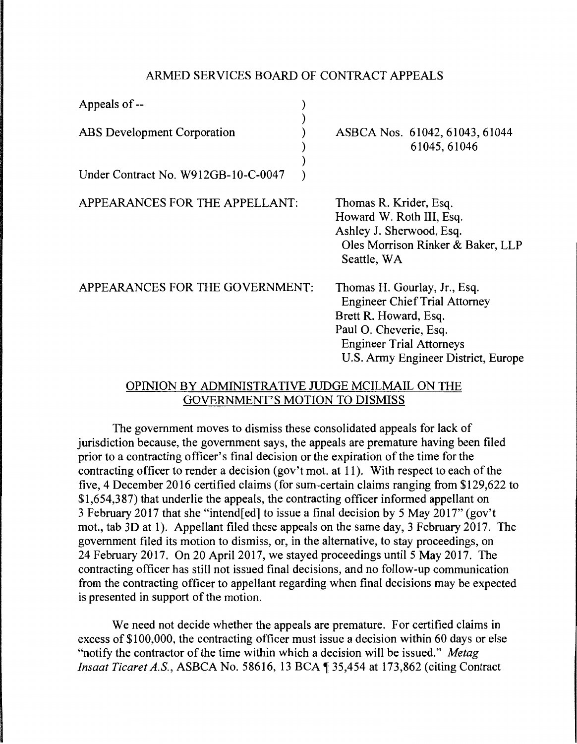## ARMED SERVICES BOARD OF CONTRACT APPEALS

| Appeals of --                       |                                                                                                                                                                                                   |
|-------------------------------------|---------------------------------------------------------------------------------------------------------------------------------------------------------------------------------------------------|
| ABS Development Corporation         | ASBCA Nos. 61042, 61043, 61044<br>61045, 61046                                                                                                                                                    |
| Under Contract No. W912GB-10-C-0047 |                                                                                                                                                                                                   |
| APPEARANCES FOR THE APPELLANT:      | Thomas R. Krider, Esq.<br>Howard W. Roth III, Esq.<br>Ashley J. Sherwood, Esq.<br>Oles Morrison Rinker & Baker, LLP<br>Seattle, WA                                                                |
| APPEARANCES FOR THE GOVERNMENT:     | Thomas H. Gourlay, Jr., Esq.<br><b>Engineer Chief Trial Attorney</b><br>Brett R. Howard, Esq.<br>Paul O. Cheverie, Esq.<br><b>Engineer Trial Attorneys</b><br>U.S. Army Engineer District, Europe |

## OPINION BY ADMINISTRATIVE JUDGE MCILMAIL ON THE GOVERNMENT'S MOTION TO DISMISS

The government moves to dismiss these consolidated appeals for lack of jurisdiction because, the government says, the appeals are premature having been filed prior to a contracting officer's final decision or the expiration of the time for the contracting officer to render a decision (gov't mot. at 11). With respect to each of the five, 4 December 2016 certified claims (for sum-certain claims ranging from \$129,622 to \$1,654,387) that underlie the appeals, the contracting officer informed appellant on 3 February 2017 that she "intend[ed] to issue a final decision by 5 May 2017" (gov't mot., tab 3D at 1). Appellant filed these appeals on the same day, 3 February 2017. The government filed its motion to dismiss, or, in the alternative, to stay proceedings, on 24 February 2017. On 20 April 2017, we stayed proceedings until 5 May 2017. The contracting officer has still not issued final decisions, and no follow-up communication from the contracting officer to appellant regarding when final decisions may be expected is presented in support of the motion.

We need not decide whether the appeals are premature. For certified claims in excess of \$100,000, the contracting officer must issue a decision within 60 days or else "notify the contractor of the time within which a decision will be issued." *Metag Insaat Ticaret A.S., ASBCA No.* 58616, 13 BCA 135,454 at 173,862 (citing Contract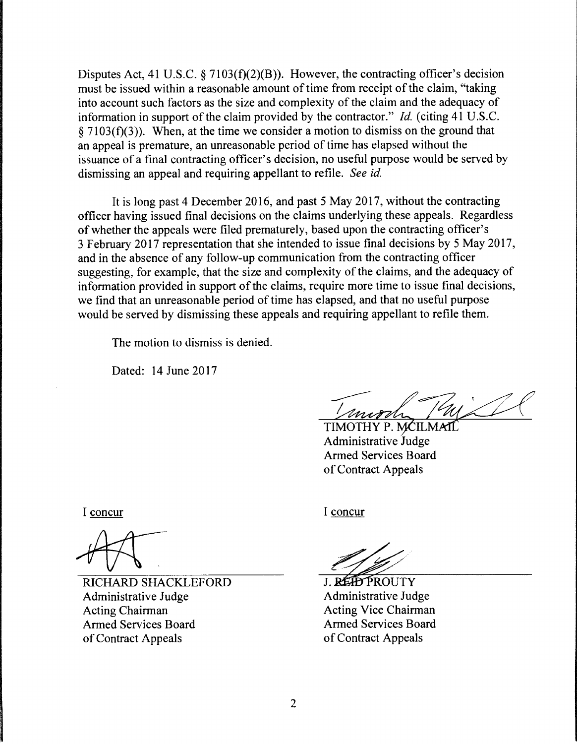Disputes Act, 41 U.S.C.  $\S 7103(f)(2)(B)$ . However, the contracting officer's decision must be issued within a reasonable amount of time from receipt of the claim, "taking into account such factors as the size and complexity of the claim and the adequacy of information in support of the claim provided by the contractor." *Id.* (citing 41 U.S.C.  $§ 7103(f)(3)$ . When, at the time we consider a motion to dismiss on the ground that an appeal is premature, an unreasonable period of time has elapsed without the issuance of a final contracting officer's decision, no useful purpose would be served by dismissing an appeal and requiring appellant to refile. *See id.* 

It is long past 4 December 2016, and past 5 May 2017, without the contracting officer having issued final decisions on the claims underlying these appeals. Regardless of whether the appeals were filed prematurely, based upon the contracting officer's 3 February 2017 representation that she intended to issue final decisions by 5 May 2017, and in the absence of any follow-up communication from the contracting officer suggesting, for example, that the size and complexity of the claims, and the adequacy of information provided in support of the claims, require more time to issue final decisions, we find that an unreasonable period of time has elapsed, and that no useful purpose would be served by dismissing these appeals and requiring appellant to refile them.

The motion to dismiss is denied.

Dated: 14 June 2017

TIMOTHY P. NCILMATE

Administrative Armed Services Board of Contract Appeals

I concur

RICHARD SHACKLEFORD Administrative Judge Acting Chairman Armed Services Board of Contract Appeals

I concur

J. REID PROUTY Administrative Judge Acting Vice Chairman Armed Services Board of Contract Appeals